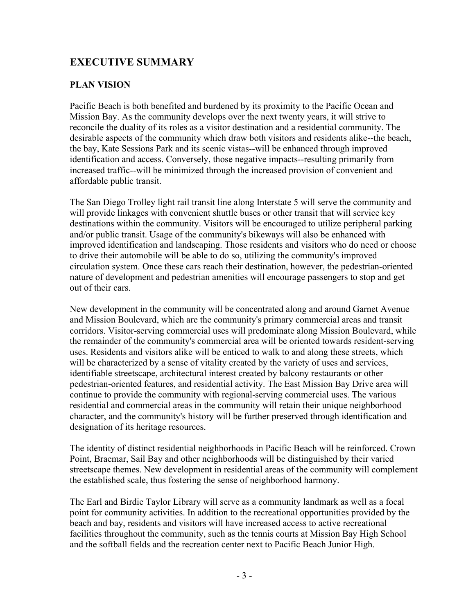# **EXECUTIVE SUMMARY**

#### **PLAN VISION**

Pacific Beach is both benefited and burdened by its proximity to the Pacific Ocean and Mission Bay. As the community develops over the next twenty years, it will strive to reconcile the duality of its roles as a visitor destination and a residential community. The desirable aspects of the community which draw both visitors and residents alike--the beach, the bay, Kate Sessions Park and its scenic vistas--will be enhanced through improved identification and access. Conversely, those negative impacts--resulting primarily from increased traffic--will be minimized through the increased provision of convenient and affordable public transit.

The San Diego Trolley light rail transit line along Interstate 5 will serve the community and will provide linkages with convenient shuttle buses or other transit that will service key destinations within the community. Visitors will be encouraged to utilize peripheral parking and/or public transit. Usage of the community's bikeways will also be enhanced with improved identification and landscaping. Those residents and visitors who do need or choose to drive their automobile will be able to do so, utilizing the community's improved circulation system. Once these cars reach their destination, however, the pedestrian-oriented nature of development and pedestrian amenities will encourage passengers to stop and get out of their cars.

New development in the community will be concentrated along and around Garnet Avenue and Mission Boulevard, which are the community's primary commercial areas and transit corridors. Visitor-serving commercial uses will predominate along Mission Boulevard, while the remainder of the community's commercial area will be oriented towards resident-serving uses. Residents and visitors alike will be enticed to walk to and along these streets, which will be characterized by a sense of vitality created by the variety of uses and services, identifiable streetscape, architectural interest created by balcony restaurants or other pedestrian-oriented features, and residential activity. The East Mission Bay Drive area will continue to provide the community with regional-serving commercial uses. The various residential and commercial areas in the community will retain their unique neighborhood character, and the community's history will be further preserved through identification and designation of its heritage resources.

The identity of distinct residential neighborhoods in Pacific Beach will be reinforced. Crown Point, Braemar, Sail Bay and other neighborhoods will be distinguished by their varied streetscape themes. New development in residential areas of the community will complement the established scale, thus fostering the sense of neighborhood harmony.

The Earl and Birdie Taylor Library will serve as a community landmark as well as a focal point for community activities. In addition to the recreational opportunities provided by the beach and bay, residents and visitors will have increased access to active recreational facilities throughout the community, such as the tennis courts at Mission Bay High School and the softball fields and the recreation center next to Pacific Beach Junior High.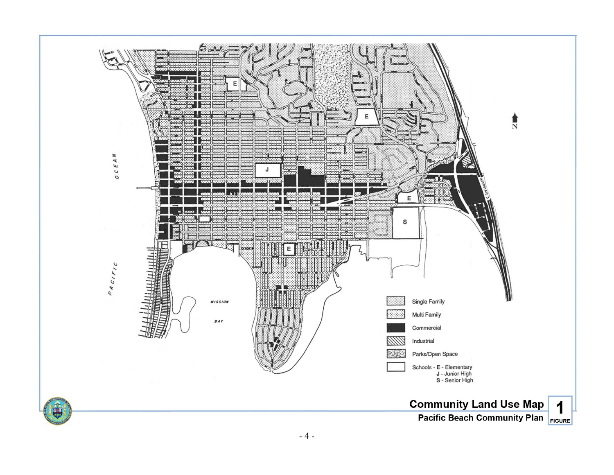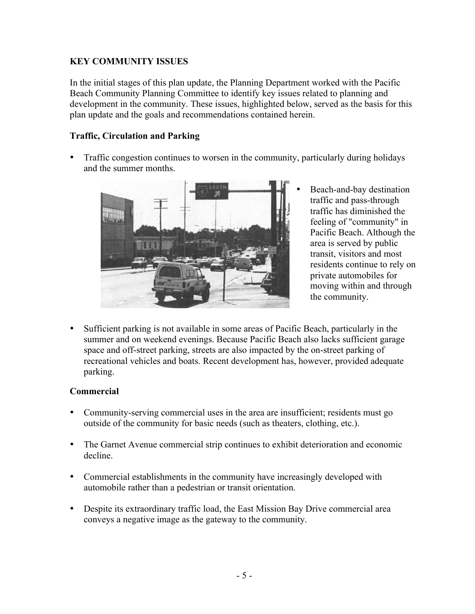# **KEY COMMUNITY ISSUES**

In the initial stages of this plan update, the Planning Department worked with the Pacific Beach Community Planning Committee to identify key issues related to planning and development in the community. These issues, highlighted below, served as the basis for this plan update and the goals and recommendations contained herein.

## **Traffic, Circulation and Parking**

• Traffic congestion continues to worsen in the community, particularly during holidays and the summer months.



- Beach-and-bay destination traffic and pass-through traffic has diminished the feeling of "community" in Pacific Beach. Although the area is served by public transit, visitors and most residents continue to rely on private automobiles for moving within and through the community.
- Sufficient parking is not available in some areas of Pacific Beach, particularly in the summer and on weekend evenings. Because Pacific Beach also lacks sufficient garage space and off-street parking, streets are also impacted by the on-street parking of recreational vehicles and boats. Recent development has, however, provided adequate parking.

#### **Commercial**

- Community-serving commercial uses in the area are insufficient; residents must go outside of the community for basic needs (such as theaters, clothing, etc.).
- The Garnet Avenue commercial strip continues to exhibit deterioration and economic decline.
- Commercial establishments in the community have increasingly developed with automobile rather than a pedestrian or transit orientation.
- Despite its extraordinary traffic load, the East Mission Bay Drive commercial area conveys a negative image as the gateway to the community.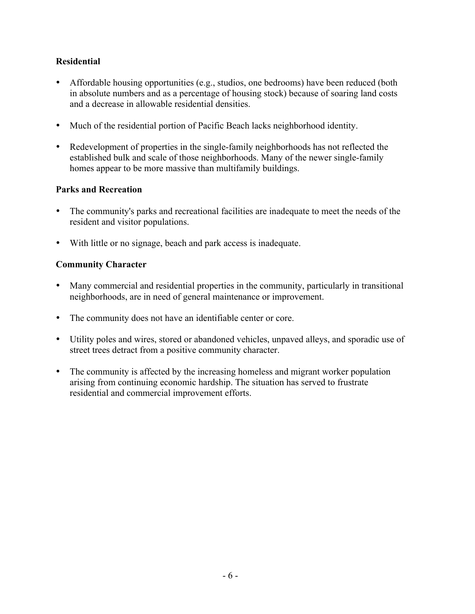# **Residential**

- Affordable housing opportunities (e.g., studios, one bedrooms) have been reduced (both in absolute numbers and as a percentage of housing stock) because of soaring land costs and a decrease in allowable residential densities.
- Much of the residential portion of Pacific Beach lacks neighborhood identity.
- Redevelopment of properties in the single-family neighborhoods has not reflected the established bulk and scale of those neighborhoods. Many of the newer single-family homes appear to be more massive than multifamily buildings.

## **Parks and Recreation**

- The community's parks and recreational facilities are inadequate to meet the needs of the resident and visitor populations.
- With little or no signage, beach and park access is inadequate.

## **Community Character**

- Many commercial and residential properties in the community, particularly in transitional neighborhoods, are in need of general maintenance or improvement.
- The community does not have an identifiable center or core.
- Utility poles and wires, stored or abandoned vehicles, unpaved alleys, and sporadic use of street trees detract from a positive community character.
- The community is affected by the increasing homeless and migrant worker population arising from continuing economic hardship. The situation has served to frustrate residential and commercial improvement efforts.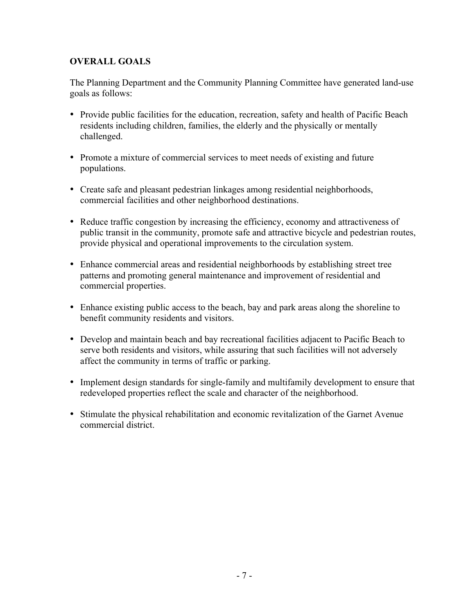# **OVERALL GOALS**

The Planning Department and the Community Planning Committee have generated land-use goals as follows:

- Provide public facilities for the education, recreation, safety and health of Pacific Beach residents including children, families, the elderly and the physically or mentally challenged.
- Promote a mixture of commercial services to meet needs of existing and future populations.
- Create safe and pleasant pedestrian linkages among residential neighborhoods, commercial facilities and other neighborhood destinations.
- Reduce traffic congestion by increasing the efficiency, economy and attractiveness of public transit in the community, promote safe and attractive bicycle and pedestrian routes, provide physical and operational improvements to the circulation system.
- Enhance commercial areas and residential neighborhoods by establishing street tree patterns and promoting general maintenance and improvement of residential and commercial properties.
- Enhance existing public access to the beach, bay and park areas along the shoreline to benefit community residents and visitors.
- Develop and maintain beach and bay recreational facilities adjacent to Pacific Beach to serve both residents and visitors, while assuring that such facilities will not adversely affect the community in terms of traffic or parking.
- Implement design standards for single-family and multifamily development to ensure that redeveloped properties reflect the scale and character of the neighborhood.
- Stimulate the physical rehabilitation and economic revitalization of the Garnet Avenue commercial district.